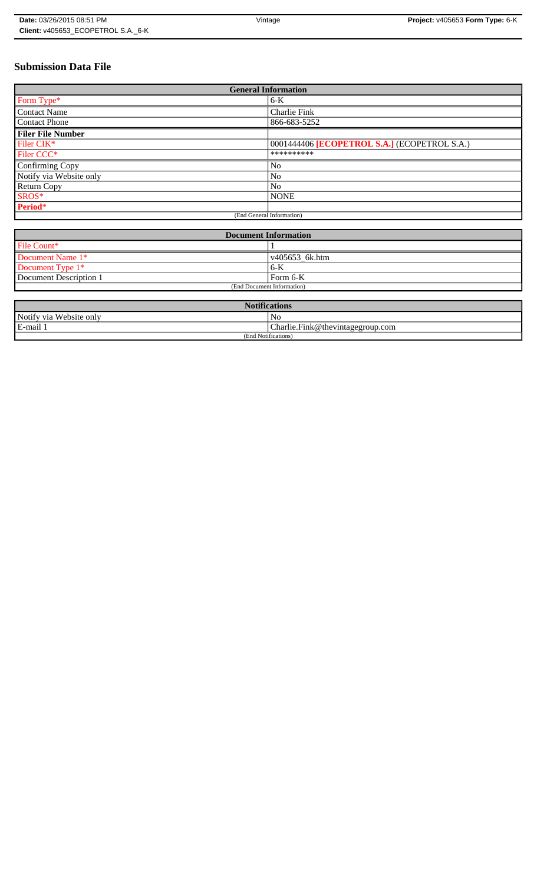# **Submission Data File**

| <b>General Information</b> |                                              |
|----------------------------|----------------------------------------------|
| Form Type*                 | $6-K$                                        |
| <b>Contact Name</b>        | Charlie Fink                                 |
| <b>Contact Phone</b>       | 866-683-5252                                 |
| <b>Filer File Number</b>   |                                              |
| Filer CIK*                 | 0001444406 [ECOPETROL S.A.] (ECOPETROL S.A.) |
| Filer CCC <sup>*</sup>     | **********                                   |
| Confirming Copy            | No                                           |
| Notify via Website only    | No                                           |
| Return Copy                | N <sub>o</sub>                               |
| SROS*                      | <b>NONE</b>                                  |
| Period*                    |                                              |
| (End General Information)  |                                              |

| <b>Document Information</b> |                        |
|-----------------------------|------------------------|
| File Count*                 |                        |
| Document Name 1*            | $\sqrt{405653}$ 6k.htm |
| Document Type 1*            | 6-K                    |
| Document Description 1      | Form 6-K               |
| (End Document Information)  |                        |

| <b>Notifications</b>    |                                  |  |
|-------------------------|----------------------------------|--|
| Notify via Website only | N <sub>0</sub>                   |  |
| E-mail 1                | Charlie.Fink@thevintagegroup.com |  |
| (End Notifications)     |                                  |  |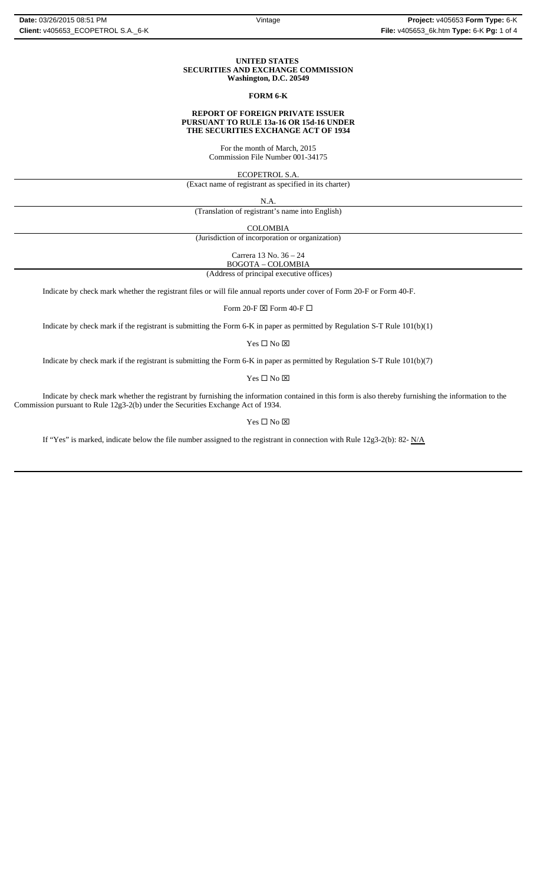#### **UNITED STATES SECURITIES AND EXCHANGE COMMISSION Washington, D.C. 20549**

### **FORM 6-K**

#### **REPORT OF FOREIGN PRIVATE ISSUER PURSUANT TO RULE 13a-16 OR 15d-16 UNDER THE SECURITIES EXCHANGE ACT OF 1934**

For the month of March, 2015 Commission File Number 001-34175

ECOPETROL S.A.

(Exact name of registrant as specified in its charter)

N.A.

(Translation of registrant's name into English)

COLOMBIA

(Jurisdiction of incorporation or organization)

Carrera 13 No. 36 – 24

BOGOTA – COLOMBIA

(Address of principal executive offices)

Indicate by check mark whether the registrant files or will file annual reports under cover of Form 20-F or Form 40-F.

Form 20-F  $\boxtimes$  Form 40-F  $\Box$ 

Indicate by check mark if the registrant is submitting the Form 6-K in paper as permitted by Regulation S-T Rule 101(b)(1)

Yes $\Box$  No  $\boxtimes$ 

Indicate by check mark if the registrant is submitting the Form 6-K in paper as permitted by Regulation S-T Rule 101(b)(7)

Yes □ No ⊠

Indicate by check mark whether the registrant by furnishing the information contained in this form is also thereby furnishing the information to the Commission pursuant to Rule 12g3-2(b) under the Securities Exchange Act of 1934.

 $\mathbf{Yes} \ \square \ \mathbf{No} \ \boxtimes$ 

If "Yes" is marked, indicate below the file number assigned to the registrant in connection with Rule 12g3-2(b): 82-  $N/A$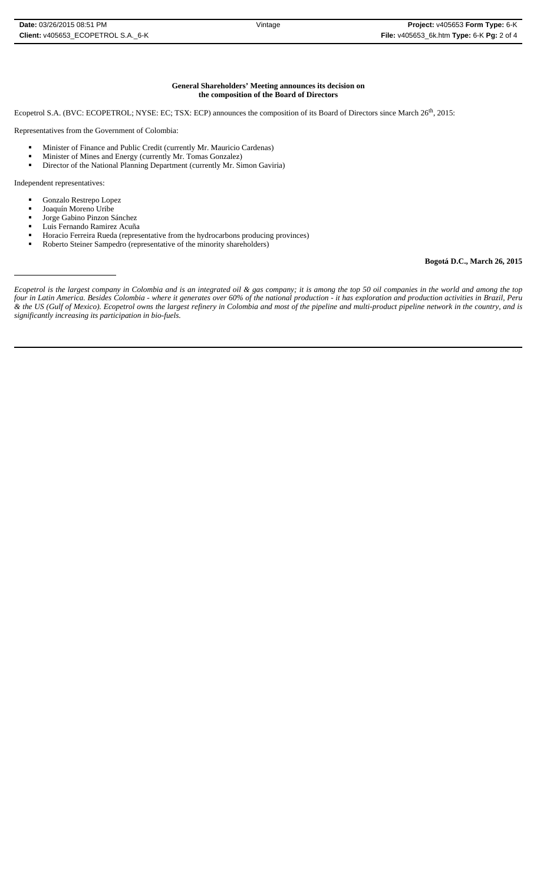#### **General Shareholders' Meeting announces its decision on the composition of the Board of Directors**

Ecopetrol S.A. (BVC: ECOPETROL; NYSE: EC; TSX: ECP) announces the composition of its Board of Directors since March 26<sup>th</sup>, 2015:

Representatives from the Government of Colombia:

- Minister of Finance and Public Credit (currently Mr. Mauricio Cardenas)
- Minister of Mines and Energy (currently Mr. Tomas Gonzalez)<br>Director of the National Planning Department (currently Mr. Si
- Director of the National Planning Department (currently Mr. Simon Gaviria)

Independent representatives:

- Gonzalo Restrepo Lopez
- **Joaquín Moreno Uribe**<br>**Joace Gabino Pinzon S**
- Jorge Gabino Pinzon Sánchez
- Luis Fernando Ramirez Acuña
- Horacio Ferreira Rueda (representative from the hydrocarbons producing provinces)
- Roberto Steiner Sampedro (representative of the minority shareholders)

**Bogotá D.C., March 26, 2015**

*Ecopetrol is the largest company in Colombia and is an integrated oil & gas company; it is among the top 50 oil companies in the world and among the top four in Latin America. Besides Colombia - where it generates over 60% of the national production - it has exploration and production activities in Brazil, Peru & the US (Gulf of Mexico). Ecopetrol owns the largest refinery in Colombia and most of the pipeline and multi-product pipeline network in the country, and is significantly increasing its participation in bio-fuels.*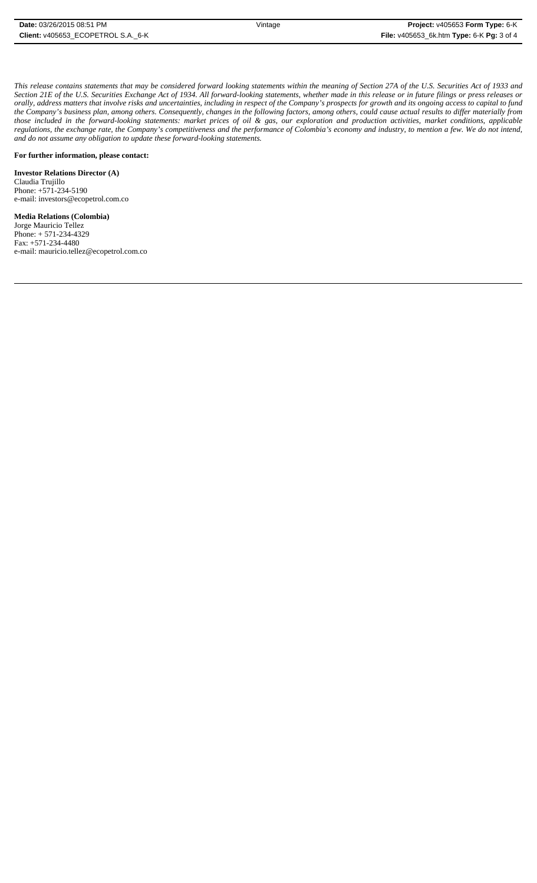*This release contains statements that may be considered forward looking statements within the meaning of Section 27A of the U.S. Securities Act of 1933 and Section 21E of the U.S. Securities Exchange Act of 1934. All forward-looking statements, whether made in this release or in future filings or press releases or* orally, address matters that involve risks and uncertainties, including in respect of the Company's prospects for growth and its ongoing access to capital to fund *the Company's business plan, among others. Consequently, changes in the following factors, among others, could cause actual results to differ materially from those included in the forward-looking statements: market prices of oil & gas, our exploration and production activities, market conditions, applicable regulations, the exchange rate, the Company's competitiveness and the performance of Colombia's economy and industry, to mention a few. We do not intend, and do not assume any obligation to update these forward-looking statements.*

## **For further information, please contact:**

### **Investor Relations Director (A)**

Claudia Trujillo Phone: +571-234-5190 e-mail: investors@ecopetrol.com.co

### **Media Relations (Colombia)**

Jorge Mauricio Tellez Phone: + 571-234-4329 Fax: +571-234-4480 e-mail: mauricio.tellez@ecopetrol.com.co